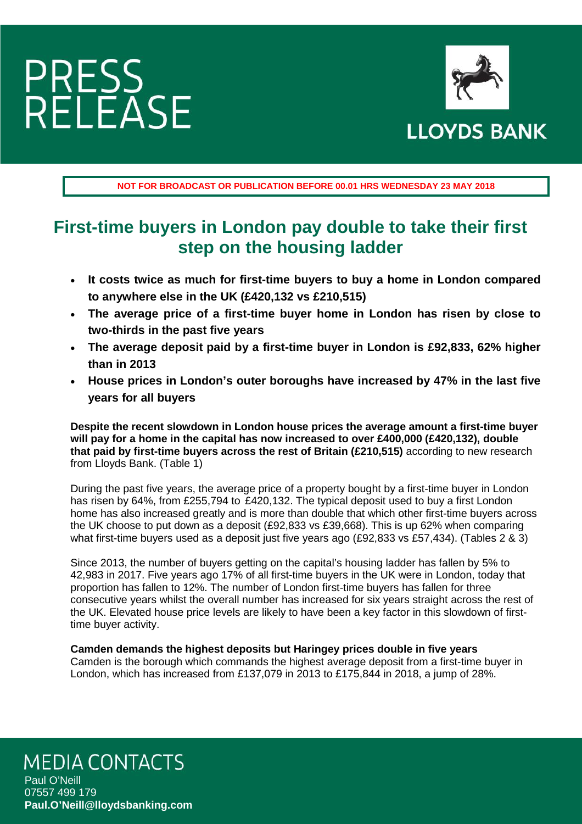

**NOT FOR BROADCAST OR PUBLICATION BEFORE 00.01 HRS WEDNESDAY 23 MAY 2018**

### **First-time buyers in London pay double to take their first step on the housing ladder**

- **It costs twice as much for first-time buyers to buy a home in London compared to anywhere else in the UK (£420,132 vs £210,515)**
- **The average price of a first-time buyer home in London has risen by close to two-thirds in the past five years**
- **The average deposit paid by a first-time buyer in London is £92,833, 62% higher than in 2013**
- **House prices in London's outer boroughs have increased by 47% in the last five years for all buyers**

**Despite the recent slowdown in London house prices the average amount a first-time buyer will pay for a home in the capital has now increased to over £400,000 (£420,132), double that paid by first-time buyers across the rest of Britain (£210,515)** according to new research from Lloyds Bank. (Table 1)

During the past five years, the average price of a property bought by a first-time buyer in London has risen by 64%, from £255,794 to £420,132. The typical deposit used to buy a first London home has also increased greatly and is more than double that which other first-time buyers across the UK choose to put down as a deposit (£92,833 vs £39,668). This is up 62% when comparing what first-time buyers used as a deposit just five years ago (£92,833 vs £57,434). (Tables 2 & 3)

Since 2013, the number of buyers getting on the capital's housing ladder has fallen by 5% to 42,983 in 2017. Five years ago 17% of all first-time buyers in the UK were in London, today that proportion has fallen to 12%. The number of London first-time buyers has fallen for three consecutive years whilst the overall number has increased for six years straight across the rest of the UK. Elevated house price levels are likely to have been a key factor in this slowdown of firsttime buyer activity.

**Camden demands the highest deposits but Haringey prices double in five years**  Camden is the borough which commands the highest average deposit from a first-time buyer in London, which has increased from £137,079 in 2013 to £175,844 in 2018, a jump of 28%.

### **MEDIA CONTACTS**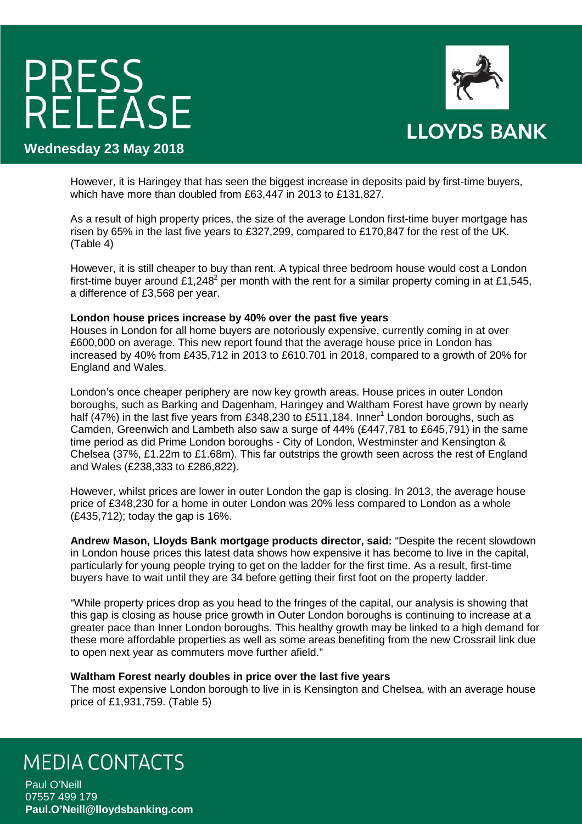

**Wednesday 23 May 2018**

However, it is Haringey that has seen the biggest increase in deposits paid by first-time buyers, which have more than doubled from £63,447 in 2013 to £131,827.

As a result of high property prices, the size of the average London first-time buyer mortgage has risen by 65% in the last five years to £327,299, compared to £170,847 for the rest of the UK. (Table 4)

However, it is still cheaper to buy than rent. A typical three bedroom house would cost a London first-time buyer around £1,248<sup>2</sup> per month with the rent for a similar property coming in at £1,545, a difference of £3,568 per year.

#### **London house prices increase by 40% over the past five years**

Houses in London for all home buyers are notoriously expensive, currently coming in at over £600,000 on average. This new report found that the average house price in London has increased by 40% from £435,712 in 2013 to £610.701 in 2018, compared to a growth of 20% for England and Wales.

London's once cheaper periphery are now key growth areas. House prices in outer London boroughs, such as Barking and Dagenham, Haringey and Waltham Forest have grown by nearly half (47%) in the last five years from £348,230 to £511,184. Inner<sup>1</sup> London boroughs, such as Camden, Greenwich and Lambeth also saw a surge of 44% (£447,781 to £645,791) in the same time period as did Prime London boroughs - City of London, Westminster and Kensington & Chelsea (37%, £1.22m to £1.68m). This far outstrips the growth seen across the rest of England and Wales (£238,333 to £286,822).

However, whilst prices are lower in outer London the gap is closing. In 2013, the average house price of £348,230 for a home in outer London was 20% less compared to London as a whole (£435,712); today the gap is 16%.

**Andrew Mason, Lloyds Bank mortgage products director, said:** "Despite the recent slowdown in London house prices this latest data shows how expensive it has become to live in the capital, particularly for young people trying to get on the ladder for the first time. As a result, first-time buyers have to wait until they are 34 before getting their first foot on the property ladder.

"While property prices drop as you head to the fringes of the capital, our analysis is showing that this gap is closing as house price growth in Outer London boroughs is continuing to increase at a greater pace than Inner London boroughs. This healthy growth may be linked to a high demand for these more affordable properties as well as some areas benefiting from the new Crossrail link due to open next year as commuters move further afield."

#### **Waltham Forest nearly doubles in price over the last five years**

The most expensive London borough to live in is Kensington and Chelsea, with an average house price of £1,931,759. (Table 5)

### **MEDIA CONTACTS**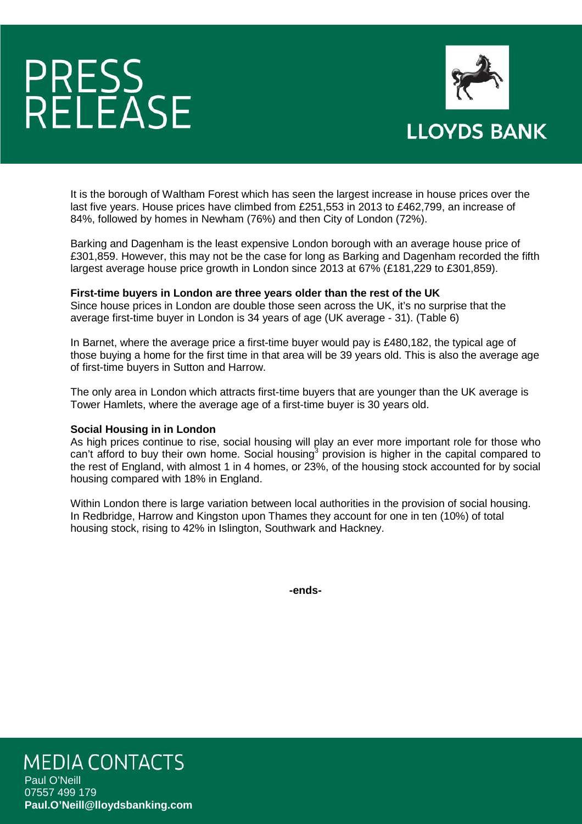

It is the borough of Waltham Forest which has seen the largest increase in house prices over the last five years. House prices have climbed from £251,553 in 2013 to £462,799, an increase of 84%, followed by homes in Newham (76%) and then City of London (72%).

Barking and Dagenham is the least expensive London borough with an average house price of £301,859. However, this may not be the case for long as Barking and Dagenham recorded the fifth largest average house price growth in London since 2013 at 67% (£181,229 to £301,859).

#### **First-time buyers in London are three years older than the rest of the UK**

Since house prices in London are double those seen across the UK, it's no surprise that the average first-time buyer in London is 34 years of age (UK average - 31). (Table 6)

In Barnet, where the average price a first-time buyer would pay is £480,182, the typical age of those buying a home for the first time in that area will be 39 years old. This is also the average age of first-time buyers in Sutton and Harrow.

The only area in London which attracts first-time buyers that are younger than the UK average is Tower Hamlets, where the average age of a first-time buyer is 30 years old.

#### **Social Housing in in London**

As high prices continue to rise, social housing will play an ever more important role for those who can't afford to buy their own home. Social housing<sup>3</sup> provision is higher in the capital compared to the rest of England, with almost 1 in 4 homes, or 23%, of the housing stock accounted for by social housing compared with 18% in England.

Within London there is large variation between local authorities in the provision of social housing. In Redbridge, Harrow and Kingston upon Thames they account for one in ten (10%) of total housing stock, rising to 42% in Islington, Southwark and Hackney.

**-ends-**

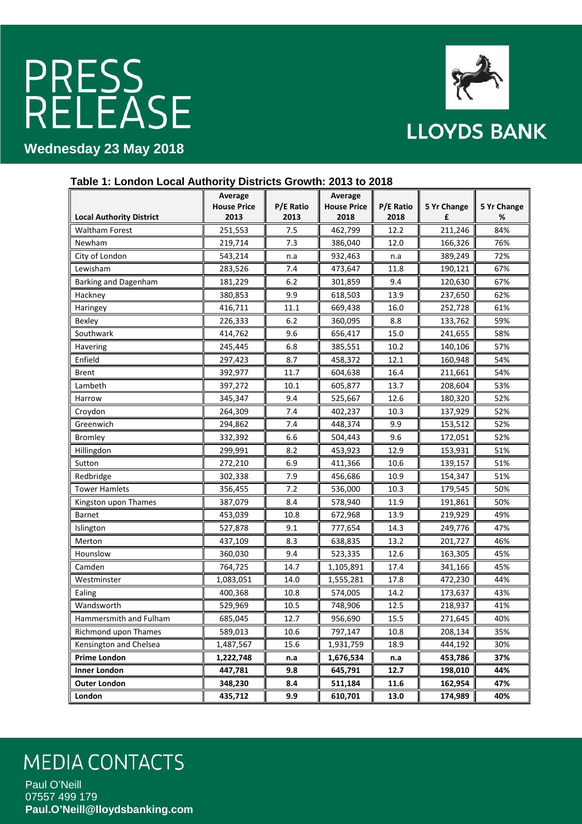

### **Wednesday 23 May 2018**

|                                 | <b>PIONIPIO</b>    |           |                    |           |             |             |
|---------------------------------|--------------------|-----------|--------------------|-----------|-------------|-------------|
|                                 | Average            |           | Average            |           |             |             |
|                                 | <b>House Price</b> | P/E Ratio | <b>House Price</b> | P/E Ratio | 5 Yr Change | 5 Yr Change |
| <b>Local Authority District</b> | 2013               | 2013      | 2018               | 2018      | £           | %           |
| <b>Waltham Forest</b>           | 251,553            | 7.5       | 462,799            | 12.2      | 211,246     | 84%         |
| Newham                          | 219,714            | 7.3       | 386,040            | 12.0      | 166,326     | 76%         |
| City of London                  | 543,214            | n.a       | 932,463            | n.a       | 389,249     | 72%         |
| Lewisham                        | 283,526            | 7.4       | 473,647            | 11.8      | 190,121     | 67%         |
| Barking and Dagenham            | 181,229            | 6.2       | 301,859            | 9.4       | 120,630     | 67%         |
| Hackney                         | 380,853            | 9.9       | 618,503            | 13.9      | 237,650     | 62%         |
| Haringey                        | 416,711            | 11.1      | 669,438            | 16.0      | 252,728     | 61%         |
| Bexley                          | 226,333            | 6.2       | 360,095            | 8.8       | 133,762     | 59%         |
| Southwark                       | 414,762            | 9.6       | 656,417            | 15.0      | 241,655     | 58%         |
| Havering                        | 245,445            | 6.8       | 385,551            | 10.2      | 140,106     | 57%         |
| Enfield                         | 297,423            | 8.7       | 458,372            | 12.1      | 160,948     | 54%         |
| <b>Brent</b>                    | 392,977            | 11.7      | 604,638            | 16.4      | 211,661     | 54%         |
| Lambeth                         | 397,272            | 10.1      | 605,877            | 13.7      | 208,604     | 53%         |
| Harrow                          | 345,347            | 9.4       | 525,667            | 12.6      | 180,320     | 52%         |
| Croydon                         | 264,309            | 7.4       | 402,237            | 10.3      | 137,929     | 52%         |
| Greenwich                       | 294,862            | 7.4       | 448,374            | 9.9       | 153,512     | 52%         |
| <b>Bromley</b>                  | 332,392            | 6.6       | 504,443            | 9.6       | 172,051     | 52%         |
| Hillingdon                      | 299,991            | 8.2       | 453,923            | 12.9      | 153,931     | 51%         |
| Sutton                          | 272,210            | 6.9       | 411,366            | 10.6      | 139,157     | 51%         |
| Redbridge                       | 302,338            | 7.9       | 456,686            | 10.9      | 154,347     | 51%         |
| <b>Tower Hamlets</b>            | 356,455            | 7.2       | 536,000            | 10.3      | 179,545     | 50%         |
| Kingston upon Thames            | 387,079            | 8.4       | 578,940            | 11.9      | 191,861     | 50%         |
| Barnet                          | 453,039            | 10.8      | 672,968            | 13.9      | 219,929     | 49%         |
| Islington                       | 527,878            | 9.1       | 777,654            | 14.3      | 249,776     | 47%         |
| Merton                          | 437,109            | 8.3       | 638,835            | 13.2      | 201,727     | 46%         |
| Hounslow                        | 360,030            | 9.4       | 523,335            | 12.6      | 163,305     | 45%         |
| Camden                          | 764,725            | 14.7      | 1,105,891          | 17.4      | 341,166     | 45%         |
| Westminster                     | 1,083,051          | 14.0      | 1,555,281          | 17.8      | 472,230     | 44%         |
| Ealing                          | 400,368            | 10.8      | 574,005            | 14.2      | 173,637     | 43%         |
| Wandsworth                      | 529,969            | 10.5      | 748,906            | 12.5      | 218,937     | 41%         |
| Hammersmith and Fulham          | 685,045            | 12.7      | 956,690            | 15.5      | 271,645     | 40%         |
| Richmond upon Thames            | 589,013            | 10.6      | 797,147            | 10.8      | 208,134     | 35%         |
| Kensington and Chelsea          | 1,487,567          | 15.6      | 1,931,759          | 18.9      | 444,192     | 30%         |
| <b>Prime London</b>             | 1,222,748          | n.a       | 1,676,534          | n.a       | 453,786     | 37%         |
| <b>Inner London</b>             | 447,781            | 9.8       | 645,791            | 12.7      | 198,010     | 44%         |
| <b>Outer London</b>             | 348,230            | 8.4       | 511,184            | 11.6      | 162,954     | 47%         |
| London                          | 435,712            | 9.9       | 610,701            | 13.0      | 174,989     | 40%         |

### **Table 1: London Local Authority Districts Growth: 2013 to 2018**

## **MEDIA CONTACTS**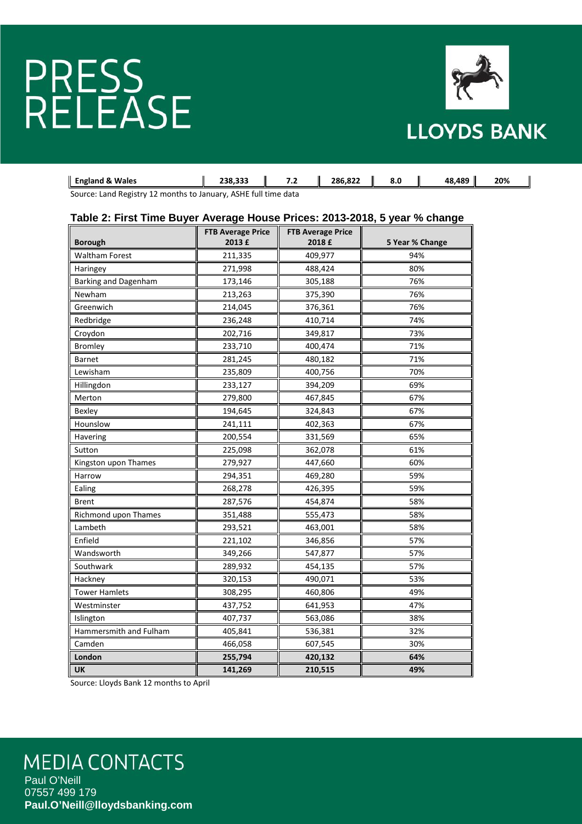

| Wales<br>England &                          | ברר סרי<br>,,,,,, |  | 286.822 | o.u | 489<br>ΛΩ | 20% |
|---------------------------------------------|-------------------|--|---------|-----|-----------|-----|
| 20115<br>$\sim$ $\sim$ $\sim$ $\sim$ $\sim$ |                   |  |         |     |           |     |

Source: Land Registry 12 months to January, ASHE full time data

#### **Table 2: First Time Buyer Average House Prices: 2013-2018, 5 year % change**

| <b>Borough</b>              | <b>FTB Average Price</b><br><b>FTB Average Price</b><br>2013 £<br>2018 £ |         | 5 Year % Change |
|-----------------------------|--------------------------------------------------------------------------|---------|-----------------|
| <b>Waltham Forest</b>       | 211,335                                                                  | 409,977 | 94%             |
| Haringey                    | 271,998                                                                  | 488,424 | 80%             |
| Barking and Dagenham        | 173,146                                                                  | 305,188 | 76%             |
| Newham                      | 213,263                                                                  | 375,390 | 76%             |
| Greenwich                   | 214,045                                                                  | 376,361 | 76%             |
| Redbridge                   | 236,248                                                                  | 410,714 | 74%             |
| Croydon                     | 202,716                                                                  | 349,817 | 73%             |
| <b>Bromley</b>              | 233,710                                                                  | 400,474 | 71%             |
| <b>Barnet</b>               | 281,245                                                                  | 480,182 | 71%             |
| Lewisham                    | 235,809                                                                  | 400,756 | 70%             |
| Hillingdon                  | 233,127                                                                  | 394,209 | 69%             |
| Merton                      | 279,800                                                                  | 467,845 | 67%             |
| Bexley                      | 194,645                                                                  | 324,843 | 67%             |
| Hounslow                    | 241,111                                                                  | 402,363 | 67%             |
| Havering                    | 200,554                                                                  | 331,569 | 65%             |
| Sutton                      | 225,098                                                                  | 362,078 | 61%             |
| Kingston upon Thames        | 279,927                                                                  | 447,660 | 60%             |
| Harrow                      | 294,351                                                                  | 469,280 | 59%             |
| Ealing                      | 268,278                                                                  | 426,395 | 59%             |
| <b>Brent</b>                | 287,576                                                                  | 454,874 | 58%             |
| <b>Richmond upon Thames</b> | 351,488                                                                  | 555,473 | 58%             |
| Lambeth                     | 293,521                                                                  | 463,001 | 58%             |
| Enfield                     | 221,102                                                                  | 346,856 | 57%             |
| Wandsworth                  | 349,266                                                                  | 547,877 | 57%             |
| Southwark                   | 289,932                                                                  | 454,135 | 57%             |
| Hackney                     | 320,153                                                                  | 490,071 | 53%             |
| <b>Tower Hamlets</b>        | 308,295                                                                  | 460,806 | 49%             |
| Westminster                 | 437,752                                                                  | 641,953 | 47%             |
| Islington                   | 407,737                                                                  | 563,086 | 38%             |
| Hammersmith and Fulham      | 405,841                                                                  | 536,381 | 32%             |
| Camden                      | 466,058                                                                  | 607,545 | 30%             |
| London                      | 255,794                                                                  | 420,132 | 64%             |
| <b>UK</b>                   | 141,269                                                                  | 210,515 | 49%             |

Source: Lloyds Bank 12 months to April

## **MEDIA CONTACTS**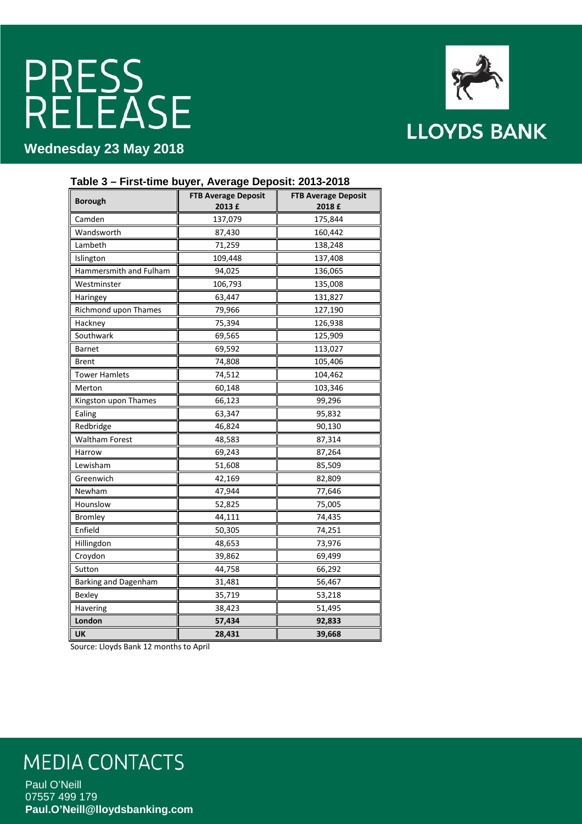**Wednesday 23 May 2018**



#### **Table 3 – First-time buyer, Average Deposit: 2013-2018**

| <b>Borough</b>              | <b>FTB Average Deposit</b><br>2013 £ | <b>FTB Average Deposit</b><br>2018 £ |  |
|-----------------------------|--------------------------------------|--------------------------------------|--|
| Camden                      | 175,844<br>137,079                   |                                      |  |
| Wandsworth                  | 87,430                               | 160,442                              |  |
| Lambeth                     | 71,259                               | 138,248                              |  |
| Islington                   | 109,448                              | 137,408                              |  |
| Hammersmith and Fulham      | 94,025                               | 136,065                              |  |
| Westminster                 | 106,793                              | 135,008                              |  |
| Haringey                    | 63,447                               | 131,827                              |  |
| Richmond upon Thames        | 79,966                               | 127,190                              |  |
| Hackney                     | 75,394                               | 126,938                              |  |
| Southwark                   | 69,565                               | 125,909                              |  |
| <b>Barnet</b>               | 69,592                               | 113,027                              |  |
| Brent                       | 74,808                               | 105,406                              |  |
| <b>Tower Hamlets</b>        | 74,512                               | 104,462                              |  |
| Merton                      | 60,148                               | 103,346                              |  |
| Kingston upon Thames        | 66,123                               | 99,296                               |  |
| Ealing                      | 63,347                               | 95,832                               |  |
| Redbridge                   | 46,824                               | 90,130                               |  |
| <b>Waltham Forest</b>       | 48,583                               | 87,314                               |  |
| Harrow                      | 69,243                               | 87,264                               |  |
| Lewisham                    | 51,608                               | 85,509                               |  |
| Greenwich                   | 42,169                               | 82,809                               |  |
| Newham                      | 47,944                               | 77,646                               |  |
| Hounslow                    | 52,825                               | 75,005                               |  |
| <b>Bromley</b>              | 44,111                               | 74,435                               |  |
| Enfield                     | 50,305                               | 74,251                               |  |
| Hillingdon                  | 48,653                               | 73,976                               |  |
| Croydon                     | 39,862                               | 69,499                               |  |
| Sutton                      | 44,758                               | 66,292                               |  |
| <b>Barking and Dagenham</b> | 31,481<br>56,467                     |                                      |  |
| Bexley                      | 35,719                               | 53,218                               |  |
| Havering                    | 38,423                               | 51,495                               |  |
| London                      | 57,434                               | 92,833                               |  |
| UK                          | 28,431                               | 39,668                               |  |

Source: Lloyds Bank 12 months to April

### **MEDIA CONTACTS**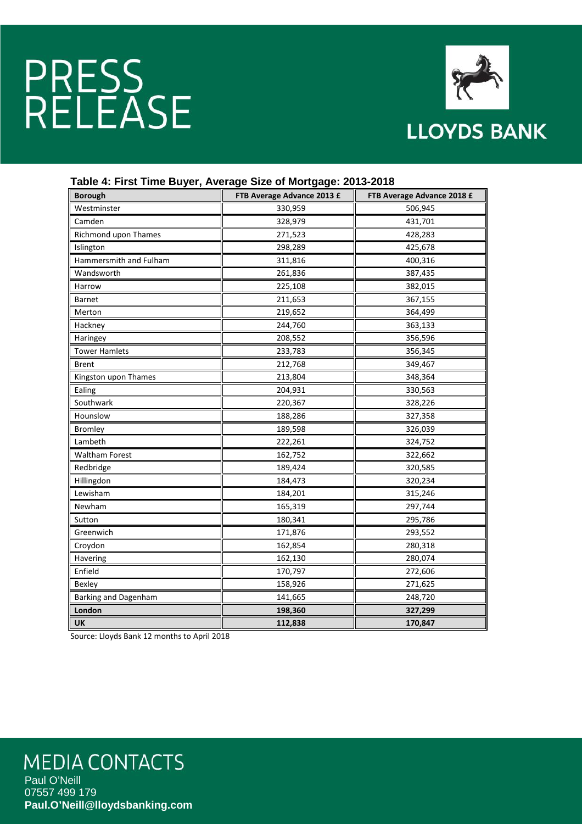

| <b>Borough</b>         | FTB Average Advance 2013 £ | FTB Average Advance 2018 £ |  |
|------------------------|----------------------------|----------------------------|--|
| Westminster            | 330,959                    | 506,945                    |  |
| Camden                 | 328,979<br>431,701         |                            |  |
| Richmond upon Thames   | 271,523                    | 428,283                    |  |
| Islington              | 298,289                    | 425,678                    |  |
| Hammersmith and Fulham | 311,816                    | 400,316                    |  |
| Wandsworth             | 261,836                    | 387,435                    |  |
| Harrow                 | 225,108                    | 382,015                    |  |
| <b>Barnet</b>          | 211,653                    | 367,155                    |  |
| Merton                 | 219,652                    | 364,499                    |  |
| Hackney                | 244,760                    | 363,133                    |  |
| Haringey               | 208,552                    | 356,596                    |  |
| <b>Tower Hamlets</b>   | 233,783                    | 356,345                    |  |
| <b>Brent</b>           | 212,768                    | 349,467                    |  |
| Kingston upon Thames   | 213,804                    | 348,364                    |  |
| Ealing                 | 204,931                    | 330,563                    |  |
| Southwark              | 220,367                    | 328,226                    |  |
| Hounslow               | 188,286                    | 327,358                    |  |
| <b>Bromley</b>         | 189,598                    | 326,039                    |  |
| Lambeth                | 222,261                    | 324,752                    |  |
| <b>Waltham Forest</b>  | 162,752                    | 322,662                    |  |
| Redbridge              | 189,424                    | 320,585                    |  |
| Hillingdon             | 184,473                    | 320,234                    |  |
| Lewisham               | 184,201                    | 315,246                    |  |
| Newham                 | 165,319                    | 297,744                    |  |
| Sutton                 | 180,341                    | 295,786                    |  |
| Greenwich              | 171,876                    | 293,552                    |  |
| Croydon                | 162,854                    | 280,318                    |  |
| Havering               | 162,130                    | 280,074                    |  |
| Enfield                | 170,797                    | 272,606                    |  |
| Bexley                 | 158,926                    | 271,625                    |  |
| Barking and Dagenham   | 141,665                    | 248,720                    |  |
| London                 | 198,360                    | 327,299                    |  |
| <b>UK</b>              | 112,838                    | 170,847                    |  |

#### **Table 4: First Time Buyer, Average Size of Mortgage: 2013-2018**

Source: Lloyds Bank 12 months to April 2018

### **MEDIA CONTACTS**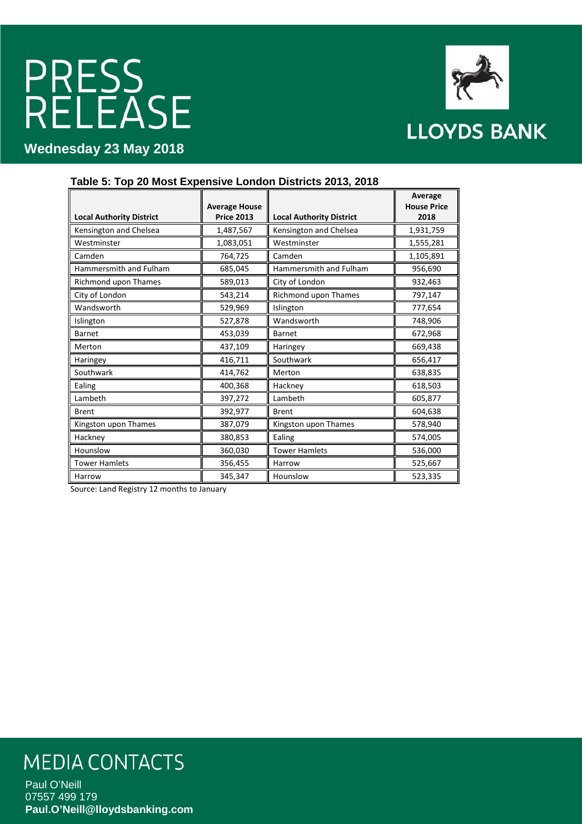**Wednesday 23 May 2018**



**Table 5: Top 20 Most Expensive London Districts 2013, 2018**

|                                 | <b>Average House</b> |                                 | Average<br><b>House Price</b> |
|---------------------------------|----------------------|---------------------------------|-------------------------------|
| <b>Local Authority District</b> | <b>Price 2013</b>    | <b>Local Authority District</b> | 2018                          |
| Kensington and Chelsea          | 1,487,567            | Kensington and Chelsea          | 1,931,759                     |
| Westminster                     | 1,083,051            | Westminster                     | 1,555,281                     |
| Camden                          | 764,725              | Camden                          | 1,105,891                     |
| Hammersmith and Fulham          | 685,045              | Hammersmith and Fulham          | 956,690                       |
| Richmond upon Thames            | 589,013              | City of London                  | 932,463                       |
| City of London                  | 543,214              | Richmond upon Thames            | 797,147                       |
| Wandsworth                      | 529,969              | Islington                       | 777,654                       |
| Islington                       | 527,878              | Wandsworth                      | 748,906                       |
| <b>Barnet</b>                   | 453,039              | <b>Barnet</b>                   | 672,968                       |
| Merton                          | 437,109              | Haringey                        | 669,438                       |
| Haringey                        | 416,711              | Southwark                       | 656,417                       |
| Southwark                       | 414,762              | Merton                          | 638,835                       |
| Ealing                          | 400,368              | Hackney                         | 618,503                       |
| Lambeth                         | 397,272              | Lambeth                         | 605,877                       |
| <b>Brent</b>                    | 392,977              | <b>Brent</b>                    | 604,638                       |
| Kingston upon Thames            | 387,079              | Kingston upon Thames            | 578,940                       |
| Hackney                         | 380,853              | Ealing                          | 574,005                       |
| Hounslow                        | 360,030              | <b>Tower Hamlets</b>            | 536,000                       |
| <b>Tower Hamlets</b>            | 356,455              | Harrow                          | 525,667                       |
| Harrow                          | 345,347              | Hounslow                        | 523,335                       |

Source: Land Registry 12 months to January

### **MEDIA CONTACTS**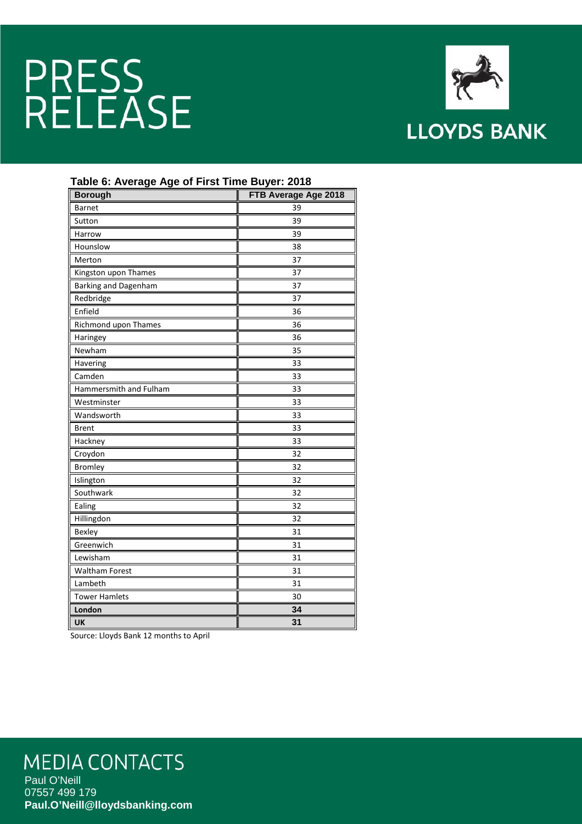

#### **Table 6: Average Age of First Time Buyer: 2018**

| <b>Borough</b>         | FTB Average Age 2018 |  |  |
|------------------------|----------------------|--|--|
| <b>Barnet</b>          | 39                   |  |  |
| Sutton                 | 39                   |  |  |
| Harrow                 | 39                   |  |  |
| Hounslow               | 38                   |  |  |
| Merton                 | 37                   |  |  |
| Kingston upon Thames   | 37                   |  |  |
| Barking and Dagenham   | 37                   |  |  |
| Redbridge              | 37                   |  |  |
| Enfield                | 36                   |  |  |
| Richmond upon Thames   | 36                   |  |  |
| Haringey               | 36                   |  |  |
| Newham                 | 35                   |  |  |
| Havering               | 33                   |  |  |
| Camden                 | 33                   |  |  |
| Hammersmith and Fulham | 33                   |  |  |
| Westminster            | 33                   |  |  |
| Wandsworth             | 33                   |  |  |
| <b>Brent</b>           | 33                   |  |  |
| Hackney                | 33                   |  |  |
| Croydon                | 32                   |  |  |
| <b>Bromley</b>         | 32                   |  |  |
| Islington              | 32                   |  |  |
| Southwark              | 32                   |  |  |
| Ealing                 | 32                   |  |  |
| Hillingdon             | 32                   |  |  |
| Bexley                 | 31                   |  |  |
| Greenwich              | 31                   |  |  |
| Lewisham               | 31                   |  |  |
| <b>Waltham Forest</b>  | 31                   |  |  |
| Lambeth                | 31                   |  |  |
| <b>Tower Hamlets</b>   | 30                   |  |  |
| London                 | 34                   |  |  |
| UK                     | 31                   |  |  |

Source: Lloyds Bank 12 months to April

### **MEDIA CONTACTS**